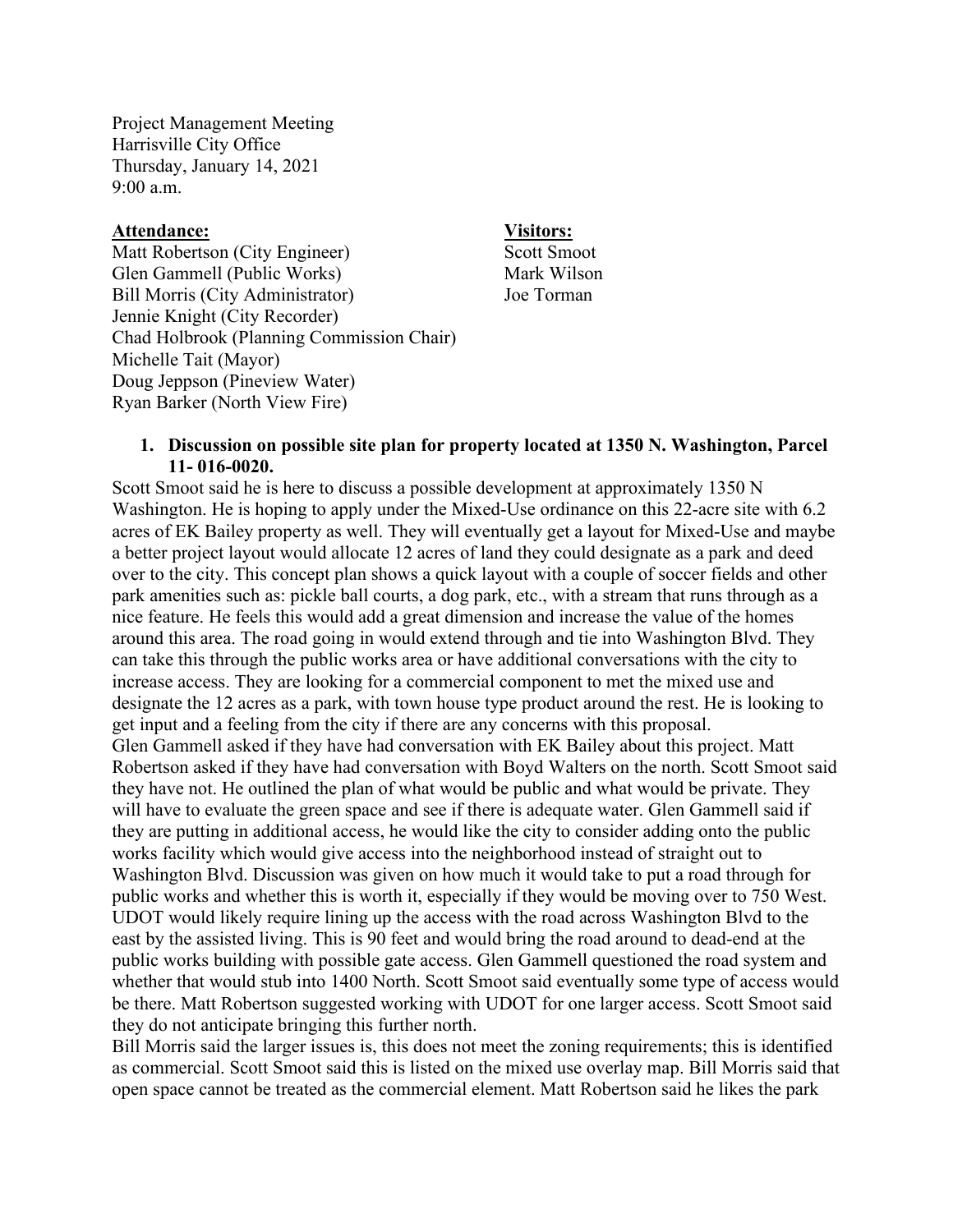Project Management Meeting Harrisville City Office Thursday, January 14, 2021 9:00 a.m.

## **Attendance: Visitors:**

Matt Robertson (City Engineer) Scott Smoot Glen Gammell (Public Works) Mark Wilson Bill Morris (City Administrator) Joe Torman Jennie Knight (City Recorder) Chad Holbrook (Planning Commission Chair) Michelle Tait (Mayor) Doug Jeppson (Pineview Water) Ryan Barker (North View Fire)

### **1. Discussion on possible site plan for property located at 1350 N. Washington, Parcel 11- 016-0020.**

Scott Smoot said he is here to discuss a possible development at approximately 1350 N Washington. He is hoping to apply under the Mixed-Use ordinance on this 22-acre site with 6.2 acres of EK Bailey property as well. They will eventually get a layout for Mixed-Use and maybe a better project layout would allocate 12 acres of land they could designate as a park and deed over to the city. This concept plan shows a quick layout with a couple of soccer fields and other park amenities such as: pickle ball courts, a dog park, etc., with a stream that runs through as a nice feature. He feels this would add a great dimension and increase the value of the homes around this area. The road going in would extend through and tie into Washington Blvd. They can take this through the public works area or have additional conversations with the city to increase access. They are looking for a commercial component to met the mixed use and designate the 12 acres as a park, with town house type product around the rest. He is looking to get input and a feeling from the city if there are any concerns with this proposal. Glen Gammell asked if they have had conversation with EK Bailey about this project. Matt Robertson asked if they have had conversation with Boyd Walters on the north. Scott Smoot said they have not. He outlined the plan of what would be public and what would be private. They will have to evaluate the green space and see if there is adequate water. Glen Gammell said if they are putting in additional access, he would like the city to consider adding onto the public works facility which would give access into the neighborhood instead of straight out to Washington Blvd. Discussion was given on how much it would take to put a road through for public works and whether this is worth it, especially if they would be moving over to 750 West. UDOT would likely require lining up the access with the road across Washington Blvd to the east by the assisted living. This is 90 feet and would bring the road around to dead-end at the public works building with possible gate access. Glen Gammell questioned the road system and whether that would stub into 1400 North. Scott Smoot said eventually some type of access would be there. Matt Robertson suggested working with UDOT for one larger access. Scott Smoot said they do not anticipate bringing this further north.

Bill Morris said the larger issues is, this does not meet the zoning requirements; this is identified as commercial. Scott Smoot said this is listed on the mixed use overlay map. Bill Morris said that open space cannot be treated as the commercial element. Matt Robertson said he likes the park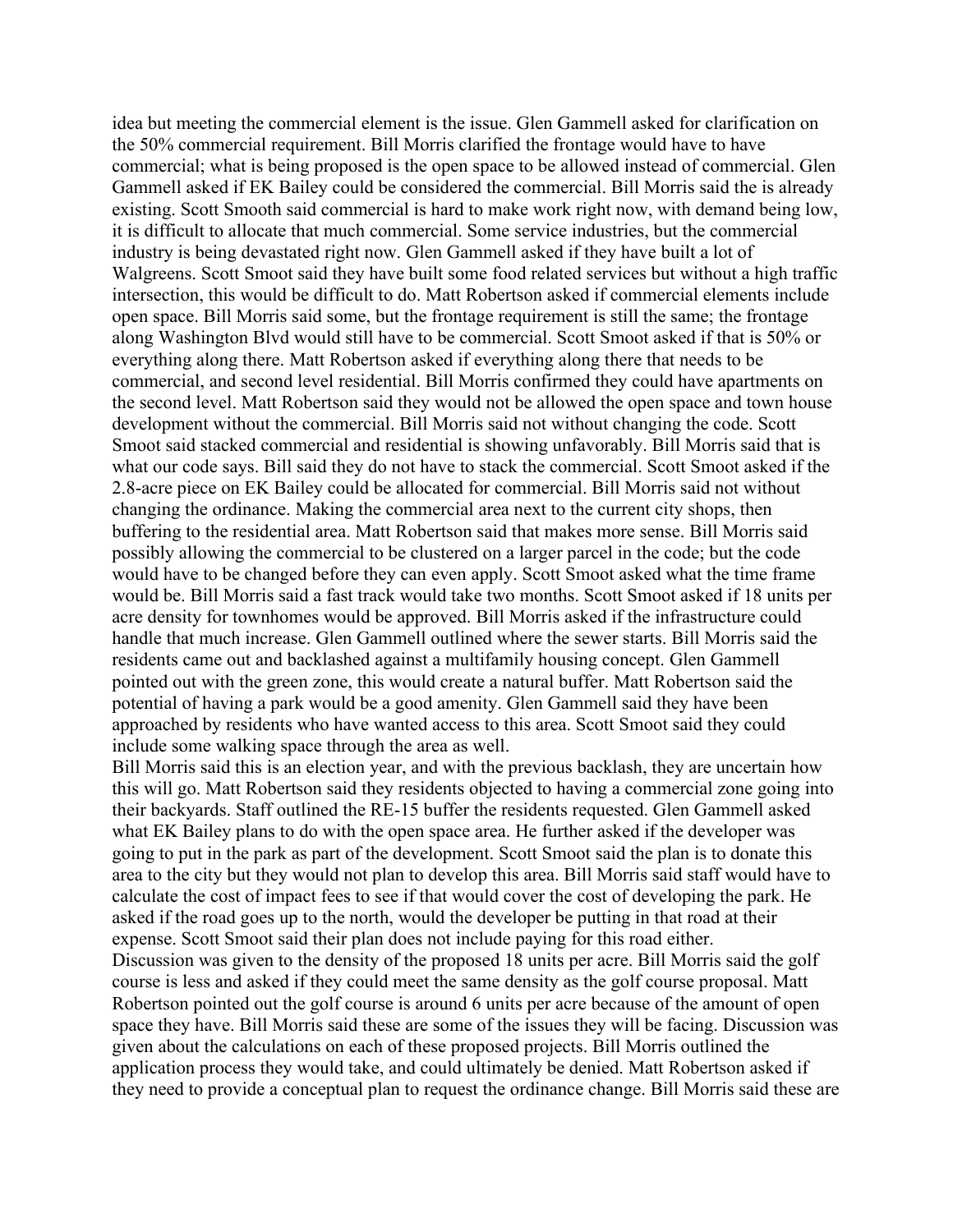idea but meeting the commercial element is the issue. Glen Gammell asked for clarification on the 50% commercial requirement. Bill Morris clarified the frontage would have to have commercial; what is being proposed is the open space to be allowed instead of commercial. Glen Gammell asked if EK Bailey could be considered the commercial. Bill Morris said the is already existing. Scott Smooth said commercial is hard to make work right now, with demand being low, it is difficult to allocate that much commercial. Some service industries, but the commercial industry is being devastated right now. Glen Gammell asked if they have built a lot of Walgreens. Scott Smoot said they have built some food related services but without a high traffic intersection, this would be difficult to do. Matt Robertson asked if commercial elements include open space. Bill Morris said some, but the frontage requirement is still the same; the frontage along Washington Blvd would still have to be commercial. Scott Smoot asked if that is 50% or everything along there. Matt Robertson asked if everything along there that needs to be commercial, and second level residential. Bill Morris confirmed they could have apartments on the second level. Matt Robertson said they would not be allowed the open space and town house development without the commercial. Bill Morris said not without changing the code. Scott Smoot said stacked commercial and residential is showing unfavorably. Bill Morris said that is what our code says. Bill said they do not have to stack the commercial. Scott Smoot asked if the 2.8-acre piece on EK Bailey could be allocated for commercial. Bill Morris said not without changing the ordinance. Making the commercial area next to the current city shops, then buffering to the residential area. Matt Robertson said that makes more sense. Bill Morris said possibly allowing the commercial to be clustered on a larger parcel in the code; but the code would have to be changed before they can even apply. Scott Smoot asked what the time frame would be. Bill Morris said a fast track would take two months. Scott Smoot asked if 18 units per acre density for townhomes would be approved. Bill Morris asked if the infrastructure could handle that much increase. Glen Gammell outlined where the sewer starts. Bill Morris said the residents came out and backlashed against a multifamily housing concept. Glen Gammell pointed out with the green zone, this would create a natural buffer. Matt Robertson said the potential of having a park would be a good amenity. Glen Gammell said they have been approached by residents who have wanted access to this area. Scott Smoot said they could include some walking space through the area as well.

Bill Morris said this is an election year, and with the previous backlash, they are uncertain how this will go. Matt Robertson said they residents objected to having a commercial zone going into their backyards. Staff outlined the RE-15 buffer the residents requested. Glen Gammell asked what EK Bailey plans to do with the open space area. He further asked if the developer was going to put in the park as part of the development. Scott Smoot said the plan is to donate this area to the city but they would not plan to develop this area. Bill Morris said staff would have to calculate the cost of impact fees to see if that would cover the cost of developing the park. He asked if the road goes up to the north, would the developer be putting in that road at their expense. Scott Smoot said their plan does not include paying for this road either. Discussion was given to the density of the proposed 18 units per acre. Bill Morris said the golf course is less and asked if they could meet the same density as the golf course proposal. Matt Robertson pointed out the golf course is around 6 units per acre because of the amount of open space they have. Bill Morris said these are some of the issues they will be facing. Discussion was given about the calculations on each of these proposed projects. Bill Morris outlined the application process they would take, and could ultimately be denied. Matt Robertson asked if they need to provide a conceptual plan to request the ordinance change. Bill Morris said these are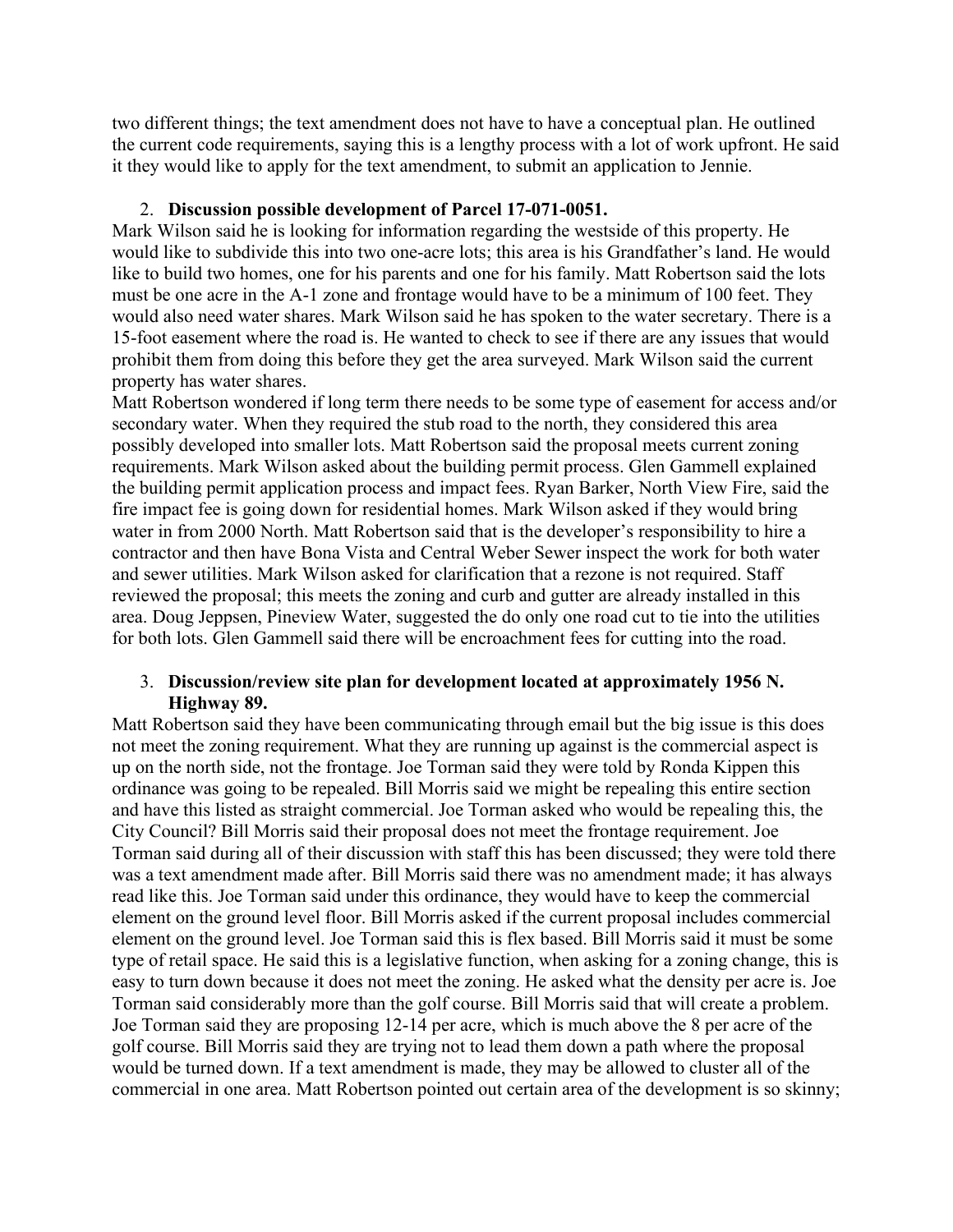two different things; the text amendment does not have to have a conceptual plan. He outlined the current code requirements, saying this is a lengthy process with a lot of work upfront. He said it they would like to apply for the text amendment, to submit an application to Jennie.

# 2. **Discussion possible development of Parcel 17-071-0051.**

Mark Wilson said he is looking for information regarding the westside of this property. He would like to subdivide this into two one-acre lots; this area is his Grandfather's land. He would like to build two homes, one for his parents and one for his family. Matt Robertson said the lots must be one acre in the A-1 zone and frontage would have to be a minimum of 100 feet. They would also need water shares. Mark Wilson said he has spoken to the water secretary. There is a 15-foot easement where the road is. He wanted to check to see if there are any issues that would prohibit them from doing this before they get the area surveyed. Mark Wilson said the current property has water shares.

Matt Robertson wondered if long term there needs to be some type of easement for access and/or secondary water. When they required the stub road to the north, they considered this area possibly developed into smaller lots. Matt Robertson said the proposal meets current zoning requirements. Mark Wilson asked about the building permit process. Glen Gammell explained the building permit application process and impact fees. Ryan Barker, North View Fire, said the fire impact fee is going down for residential homes. Mark Wilson asked if they would bring water in from 2000 North. Matt Robertson said that is the developer's responsibility to hire a contractor and then have Bona Vista and Central Weber Sewer inspect the work for both water and sewer utilities. Mark Wilson asked for clarification that a rezone is not required. Staff reviewed the proposal; this meets the zoning and curb and gutter are already installed in this area. Doug Jeppsen, Pineview Water, suggested the do only one road cut to tie into the utilities for both lots. Glen Gammell said there will be encroachment fees for cutting into the road.

## 3. **Discussion/review site plan for development located at approximately 1956 N. Highway 89.**

Matt Robertson said they have been communicating through email but the big issue is this does not meet the zoning requirement. What they are running up against is the commercial aspect is up on the north side, not the frontage. Joe Torman said they were told by Ronda Kippen this ordinance was going to be repealed. Bill Morris said we might be repealing this entire section and have this listed as straight commercial. Joe Torman asked who would be repealing this, the City Council? Bill Morris said their proposal does not meet the frontage requirement. Joe Torman said during all of their discussion with staff this has been discussed; they were told there was a text amendment made after. Bill Morris said there was no amendment made; it has always read like this. Joe Torman said under this ordinance, they would have to keep the commercial element on the ground level floor. Bill Morris asked if the current proposal includes commercial element on the ground level. Joe Torman said this is flex based. Bill Morris said it must be some type of retail space. He said this is a legislative function, when asking for a zoning change, this is easy to turn down because it does not meet the zoning. He asked what the density per acre is. Joe Torman said considerably more than the golf course. Bill Morris said that will create a problem. Joe Torman said they are proposing 12-14 per acre, which is much above the 8 per acre of the golf course. Bill Morris said they are trying not to lead them down a path where the proposal would be turned down. If a text amendment is made, they may be allowed to cluster all of the commercial in one area. Matt Robertson pointed out certain area of the development is so skinny;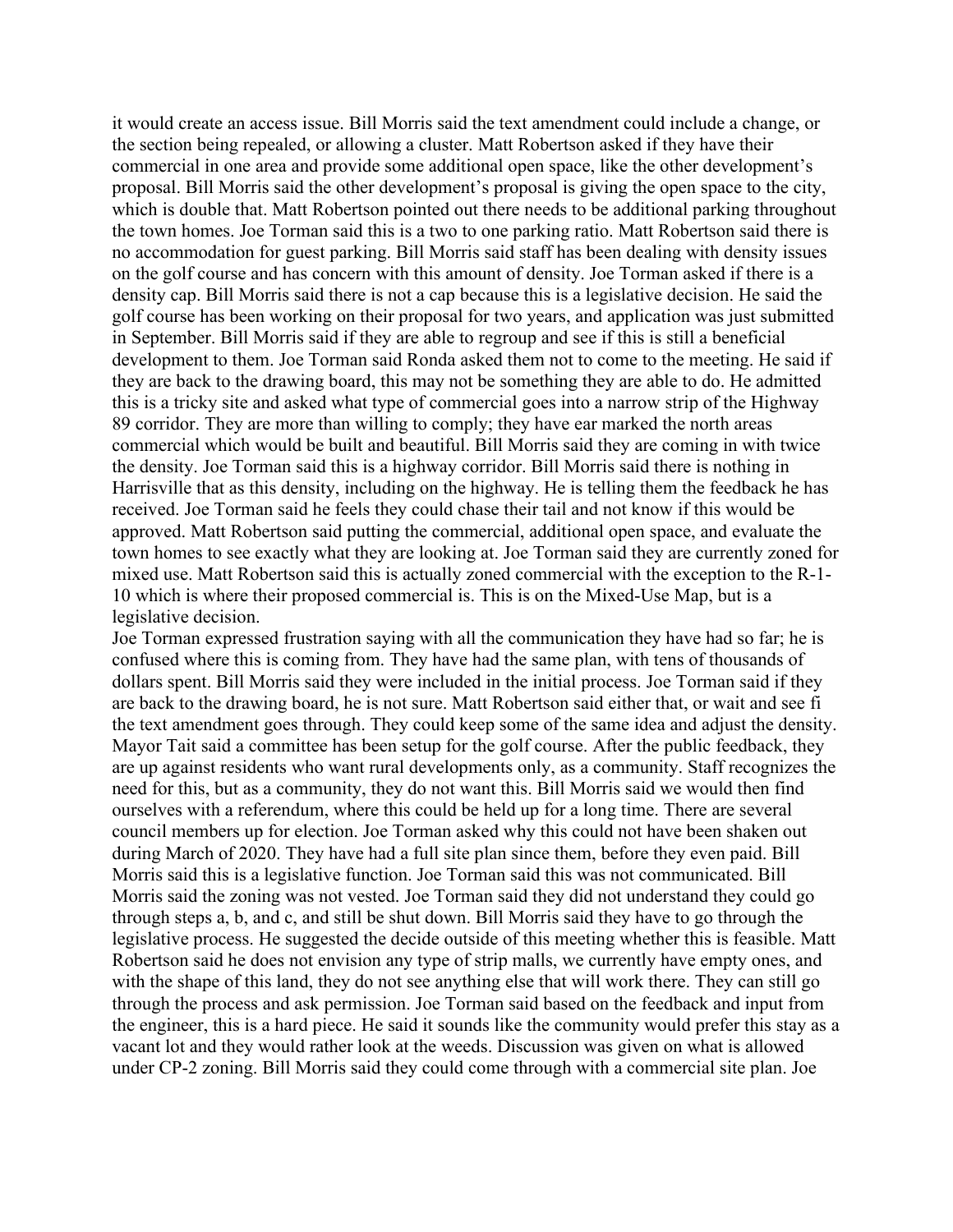it would create an access issue. Bill Morris said the text amendment could include a change, or the section being repealed, or allowing a cluster. Matt Robertson asked if they have their commercial in one area and provide some additional open space, like the other development's proposal. Bill Morris said the other development's proposal is giving the open space to the city, which is double that. Matt Robertson pointed out there needs to be additional parking throughout the town homes. Joe Torman said this is a two to one parking ratio. Matt Robertson said there is no accommodation for guest parking. Bill Morris said staff has been dealing with density issues on the golf course and has concern with this amount of density. Joe Torman asked if there is a density cap. Bill Morris said there is not a cap because this is a legislative decision. He said the golf course has been working on their proposal for two years, and application was just submitted in September. Bill Morris said if they are able to regroup and see if this is still a beneficial development to them. Joe Torman said Ronda asked them not to come to the meeting. He said if they are back to the drawing board, this may not be something they are able to do. He admitted this is a tricky site and asked what type of commercial goes into a narrow strip of the Highway 89 corridor. They are more than willing to comply; they have ear marked the north areas commercial which would be built and beautiful. Bill Morris said they are coming in with twice the density. Joe Torman said this is a highway corridor. Bill Morris said there is nothing in Harrisville that as this density, including on the highway. He is telling them the feedback he has received. Joe Torman said he feels they could chase their tail and not know if this would be approved. Matt Robertson said putting the commercial, additional open space, and evaluate the town homes to see exactly what they are looking at. Joe Torman said they are currently zoned for mixed use. Matt Robertson said this is actually zoned commercial with the exception to the R-1- 10 which is where their proposed commercial is. This is on the Mixed-Use Map, but is a legislative decision.

Joe Torman expressed frustration saying with all the communication they have had so far; he is confused where this is coming from. They have had the same plan, with tens of thousands of dollars spent. Bill Morris said they were included in the initial process. Joe Torman said if they are back to the drawing board, he is not sure. Matt Robertson said either that, or wait and see fi the text amendment goes through. They could keep some of the same idea and adjust the density. Mayor Tait said a committee has been setup for the golf course. After the public feedback, they are up against residents who want rural developments only, as a community. Staff recognizes the need for this, but as a community, they do not want this. Bill Morris said we would then find ourselves with a referendum, where this could be held up for a long time. There are several council members up for election. Joe Torman asked why this could not have been shaken out during March of 2020. They have had a full site plan since them, before they even paid. Bill Morris said this is a legislative function. Joe Torman said this was not communicated. Bill Morris said the zoning was not vested. Joe Torman said they did not understand they could go through steps a, b, and c, and still be shut down. Bill Morris said they have to go through the legislative process. He suggested the decide outside of this meeting whether this is feasible. Matt Robertson said he does not envision any type of strip malls, we currently have empty ones, and with the shape of this land, they do not see anything else that will work there. They can still go through the process and ask permission. Joe Torman said based on the feedback and input from the engineer, this is a hard piece. He said it sounds like the community would prefer this stay as a vacant lot and they would rather look at the weeds. Discussion was given on what is allowed under CP-2 zoning. Bill Morris said they could come through with a commercial site plan. Joe